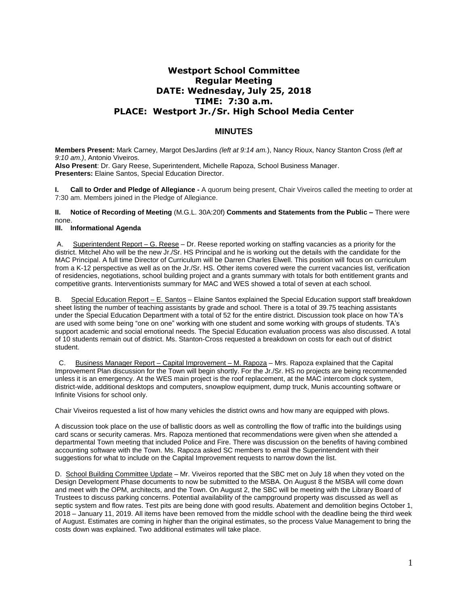# **Westport School Committee Regular Meeting DATE: Wednesday, July 25, 2018 TIME: 7:30 a.m. PLACE: Westport Jr./Sr. High School Media Center**

# **MINUTES**

**Members Present:** Mark Carney, Margot DesJardins *(left at 9:14 am.*), Nancy Rioux, Nancy Stanton Cross *(left at 9:10 am.)*, Antonio Viveiros. **Also Present**: Dr. Gary Reese, Superintendent, Michelle Rapoza, School Business Manager.

**Presenters:** Elaine Santos, Special Education Director.

**I. Call to Order and Pledge of Allegiance -** A quorum being present, Chair Viveiros called the meeting to order at 7:30 am. Members joined in the Pledge of Allegiance.

### **II. Notice of Recording of Meeting** (M.G.L. 30A:20f) **Comments and Statements from the Public –** There were none.

## **III. Informational Agenda**

A. Superintendent Report – G. Reese – Dr. Reese reported working on staffing vacancies as a priority for the district. Mitchel Aho will be the new Jr./Sr. HS Principal and he is working out the details with the candidate for the MAC Principal. A full time Director of Curriculum will be Darren Charles Elwell. This position will focus on curriculum from a K-12 perspective as well as on the Jr./Sr. HS. Other items covered were the current vacancies list, verification of residencies, negotiations, school building project and a grants summary with totals for both entitlement grants and competitive grants. Interventionists summary for MAC and WES showed a total of seven at each school.

B. Special Education Report – E. Santos – Elaine Santos explained the Special Education support staff breakdown sheet listing the number of teaching assistants by grade and school. There is a total of 39.75 teaching assistants under the Special Education Department with a total of 52 for the entire district. Discussion took place on how TA's are used with some being "one on one" working with one student and some working with groups of students. TA's support academic and social emotional needs. The Special Education evaluation process was also discussed. A total of 10 students remain out of district. Ms. Stanton-Cross requested a breakdown on costs for each out of district student.

 C. Business Manager Report – Capital Improvement – M. Rapoza – Mrs. Rapoza explained that the Capital Improvement Plan discussion for the Town will begin shortly. For the Jr./Sr. HS no projects are being recommended unless it is an emergency. At the WES main project is the roof replacement, at the MAC intercom clock system, district-wide, additional desktops and computers, snowplow equipment, dump truck, Munis accounting software or Infinite Visions for school only.

Chair Viveiros requested a list of how many vehicles the district owns and how many are equipped with plows.

A discussion took place on the use of ballistic doors as well as controlling the flow of traffic into the buildings using card scans or security cameras. Mrs. Rapoza mentioned that recommendations were given when she attended a departmental Town meeting that included Police and Fire. There was discussion on the benefits of having combined accounting software with the Town. Ms. Rapoza asked SC members to email the Superintendent with their suggestions for what to include on the Capital Improvement requests to narrow down the list.

D. School Building Committee Update – Mr. Viveiros reported that the SBC met on July 18 when they voted on the Design Development Phase documents to now be submitted to the MSBA. On August 8 the MSBA will come down and meet with the OPM, architects, and the Town. On August 2, the SBC will be meeting with the Library Board of Trustees to discuss parking concerns. Potential availability of the campground property was discussed as well as septic system and flow rates. Test pits are being done with good results. Abatement and demolition begins October 1, 2018 – January 11, 2019. All items have been removed from the middle school with the deadline being the third week of August. Estimates are coming in higher than the original estimates, so the process Value Management to bring the costs down was explained. Two additional estimates will take place.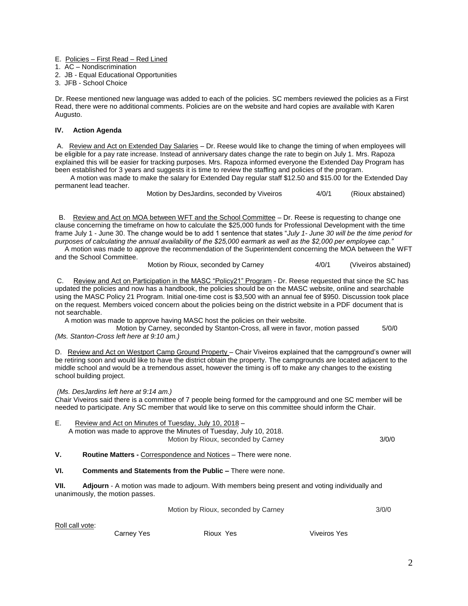- E. Policies First Read Red Lined
- 1. AC Nondiscrimination
- 2. JB Equal Educational Opportunities
- 3. JFB School Choice

Dr. Reese mentioned new language was added to each of the policies. SC members reviewed the policies as a First Read, there were no additional comments. Policies are on the website and hard copies are available with Karen Augusto.

# **IV. Action Agenda**

A. Review and Act on Extended Day Salaries - Dr. Reese would like to change the timing of when employees will be eligible for a pay rate increase. Instead of anniversary dates change the rate to begin on July 1. Mrs. Rapoza explained this will be easier for tracking purposes. Mrs. Rapoza informed everyone the Extended Day Program has been established for 3 years and suggests it is time to review the staffing and policies of the program.

 A motion was made to make the salary for Extended Day regular staff \$12.50 and \$15.00 for the Extended Day permanent lead teacher.

| Motion by DesJardins, seconded by Viveiros |  | 4/0/1 | (Rioux abstained) |
|--------------------------------------------|--|-------|-------------------|
|                                            |  |       |                   |

 B. Review and Act on MOA between WFT and the School Committee – Dr. Reese is requesting to change one clause concerning the timeframe on how to calculate the \$25,000 funds for Professional Development with the time frame July 1 - June 30. The change would be to add 1 sentence that states "*July 1- June 30 will be the time period for purposes of calculating the annual availability of the \$25,000 earmark as well as the \$2,000 per employee cap."*

 A motion was made to approve the recommendation of the Superintendent concerning the MOA between the WFT and the School Committee.

Motion by Rioux, seconded by Carney 4/0/1 (Viveiros abstained)

C. Review and Act on Participation in the MASC "Policy21" Program - Dr. Reese requested that since the SC has updated the policies and now has a handbook, the policies should be on the MASC website, online and searchable using the MASC Policy 21 Program. Initial one-time cost is \$3,500 with an annual fee of \$950. Discussion took place on the request. Members voiced concern about the policies being on the district website in a PDF document that is not searchable.

A motion was made to approve having MASC host the policies on their website.

Motion by Carney, seconded by Stanton-Cross, all were in favor, motion passed 5/0/0 *(Ms. Stanton-Cross left here at 9:10 am.)*

D. Review and Act on Westport Camp Ground Property - Chair Viveiros explained that the campground's owner will be retiring soon and would like to have the district obtain the property. The campgrounds are located adjacent to the middle school and would be a tremendous asset, however the timing is off to make any changes to the existing school building project.

#### *(Ms. DesJardins left here at 9:14 am.)*

Chair Viveiros said there is a committee of 7 people being formed for the campground and one SC member will be needed to participate. Any SC member that would like to serve on this committee should inform the Chair.

| Е. | Review and Act on Minutes of Tuesday, July 10, 2018 -               |       |
|----|---------------------------------------------------------------------|-------|
|    | A motion was made to approve the Minutes of Tuesday, July 10, 2018. |       |
|    | Motion by Rioux, seconded by Carney                                 | 3/0/0 |
|    |                                                                     |       |

**V. Routine Matters -** Correspondence and Notices – There were none.

**VI. Comments and Statements from the Public –** There were none.

**VII. Adjourn** - A motion was made to adjourn. With members being present and voting individually and unanimously, the motion passes.

Motion by Rioux, seconded by Carney 3/0/0

Roll call vote:

Carney Yes **Rioux Yes Rioux Yes** Viveiros Yes